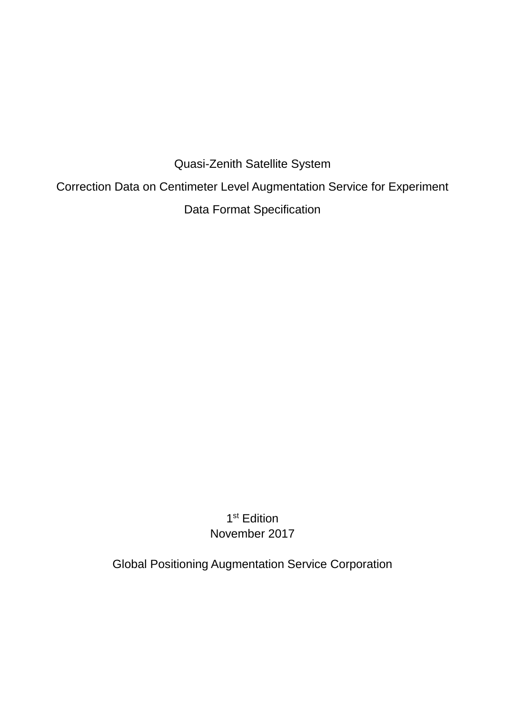Quasi-Zenith Satellite System Correction Data on Centimeter Level Augmentation Service for Experiment Data Format Specification

> 1<sup>st</sup> Edition November 2017

Global Positioning Augmentation Service Corporation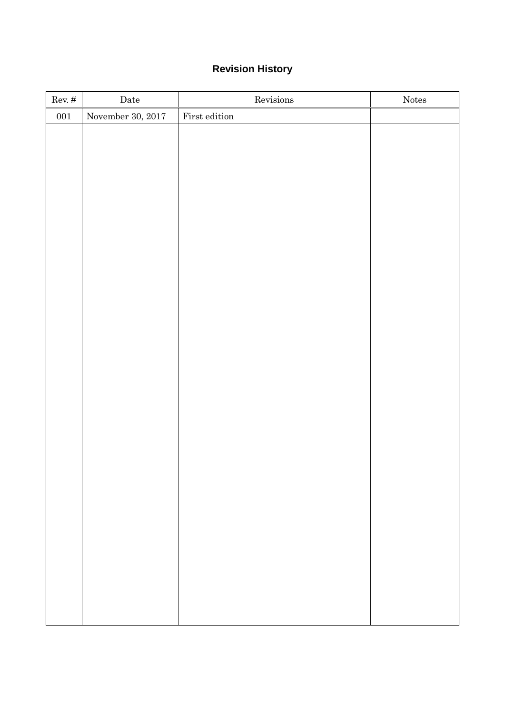# **Revision History**

| November 30, 2017<br>$\quad$ First edition<br>${\bf 001}$ |  |
|-----------------------------------------------------------|--|
|                                                           |  |
|                                                           |  |
|                                                           |  |
|                                                           |  |
|                                                           |  |
|                                                           |  |
|                                                           |  |
|                                                           |  |
|                                                           |  |
|                                                           |  |
|                                                           |  |
|                                                           |  |
|                                                           |  |
|                                                           |  |
|                                                           |  |
|                                                           |  |
|                                                           |  |
|                                                           |  |
|                                                           |  |
|                                                           |  |
|                                                           |  |
|                                                           |  |
|                                                           |  |
|                                                           |  |
|                                                           |  |
|                                                           |  |
|                                                           |  |
|                                                           |  |
|                                                           |  |
|                                                           |  |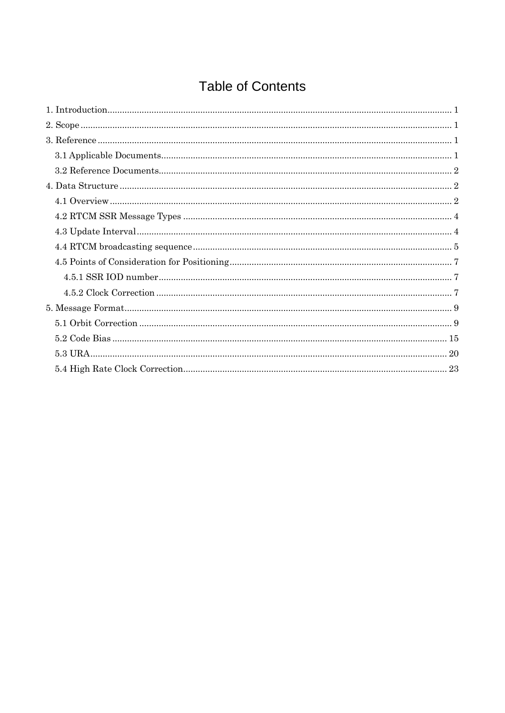# **Table of Contents**

| $4.5.1 \, \text{SSR\,IOD \, number} \, \text{} \, \text{} \, \text{} \, \text{} \, \text{} \, \text{} \, \text{} \, \text{} \, \text{} \, \text{} \, \text{} \, \text{} \, \text{} \, \text{} \, \text{} \, \text{} \, \text{} \, \text{} \, \text{} \, \text{} \, \text{} \, \text{} \, \text{} \, \text{} \, \text{} \, \text{} \, \text{} \, \text{} \, \text{$ |
|--------------------------------------------------------------------------------------------------------------------------------------------------------------------------------------------------------------------------------------------------------------------------------------------------------------------------------------------------------------------|
|                                                                                                                                                                                                                                                                                                                                                                    |
|                                                                                                                                                                                                                                                                                                                                                                    |
|                                                                                                                                                                                                                                                                                                                                                                    |
|                                                                                                                                                                                                                                                                                                                                                                    |
|                                                                                                                                                                                                                                                                                                                                                                    |
|                                                                                                                                                                                                                                                                                                                                                                    |
|                                                                                                                                                                                                                                                                                                                                                                    |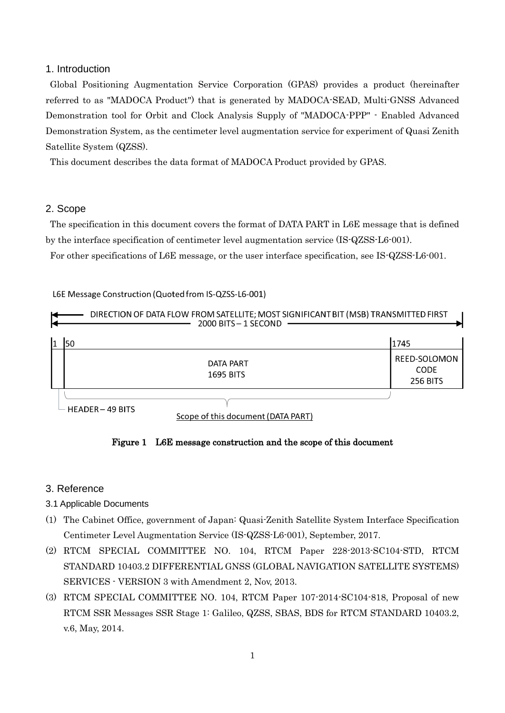## <span id="page-3-0"></span>1. Introduction

Global Positioning Augmentation Service Corporation (GPAS) provides a product (hereinafter referred to as "MADOCA Product") that is generated by MADOCA-SEAD, Multi-GNSS Advanced Demonstration tool for Orbit and Clock Analysis Supply of "MADOCA-PPP" - Enabled Advanced Demonstration System, as the centimeter level augmentation service for experiment of Quasi Zenith Satellite System (QZSS).

This document describes the data format of MADOCA Product provided by GPAS.

### <span id="page-3-1"></span>2. Scope

The specification in this document covers the format of DATA PART in L6E message that is defined by the interface specification of centimeter level augmentation service (IS-QZSS-L6-001).

For other specifications of L6E message, or the user interface specification, see IS-QZSS-L6-001.

### L6E Message Construction (Quoted from IS-QZSS-L6-001)



Figure 1 L6E message construction and the scope of this document

## <span id="page-3-2"></span>3. Reference

- <span id="page-3-3"></span>3.1 Applicable Documents
- (1) The Cabinet Office, government of Japan: Quasi-Zenith Satellite System Interface Specification Centimeter Level Augmentation Service (IS-QZSS-L6-001), September, 2017.
- (2) RTCM SPECIAL COMMITTEE NO. 104, RTCM Paper 228-2013-SC104-STD, RTCM STANDARD 10403.2 DIFFERENTIAL GNSS (GLOBAL NAVIGATION SATELLITE SYSTEMS) SERVICES - VERSION 3 with Amendment 2, Nov, 2013.
- (3) RTCM SPECIAL COMMITTEE NO. 104, RTCM Paper 107-2014-SC104-818, Proposal of new RTCM SSR Messages SSR Stage 1: Galileo, QZSS, SBAS, BDS for RTCM STANDARD 10403.2, v.6, May, 2014.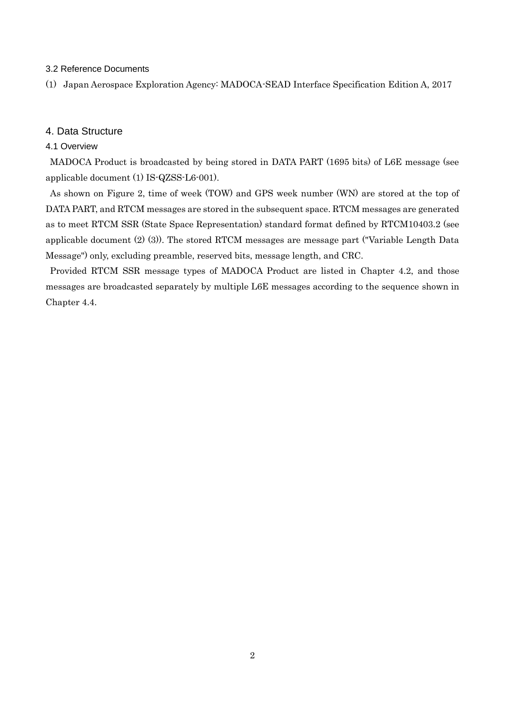#### <span id="page-4-0"></span>3.2 Reference Documents

(1) Japan Aerospace Exploration Agency: MADOCA-SEAD Interface Specification Edition A, 2017

### <span id="page-4-1"></span>4. Data Structure

#### <span id="page-4-2"></span>4.1 Overview

MADOCA Product is broadcasted by being stored in DATA PART (1695 bits) of L6E message (see applicable document (1) IS-QZSS-L6-001).

As shown on [Figure 2,](#page-5-0) time of week (TOW) and GPS week number (WN) are stored at the top of DATA PART, and RTCM messages are stored in the subsequent space. RTCM messages are generated as to meet RTCM SSR (State Space Representation) standard format defined by RTCM10403.2 (see applicable document (2) (3)). The stored RTCM messages are message part ("Variable Length Data Message") only, excluding preamble, reserved bits, message length, and CRC.

Provided RTCM SSR message types of MADOCA Product are listed in Chapter 4.2, and those messages are broadcasted separately by multiple L6E messages according to the sequence shown in Chapter 4.4.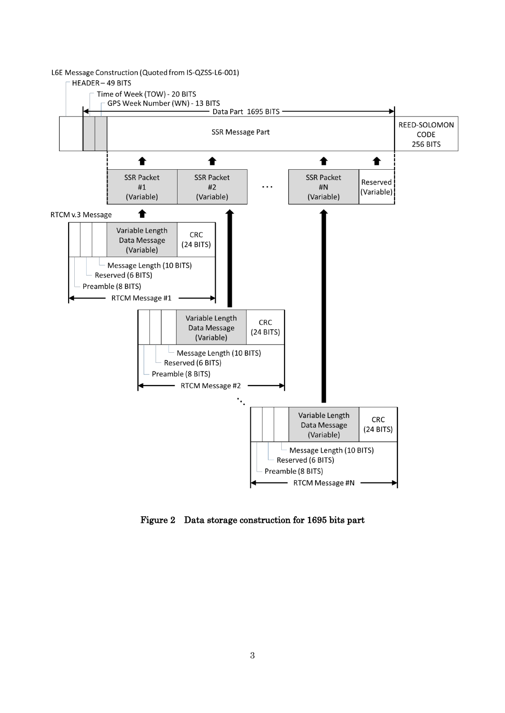

<span id="page-5-0"></span>Figure 2 Data storage construction for 1695 bits part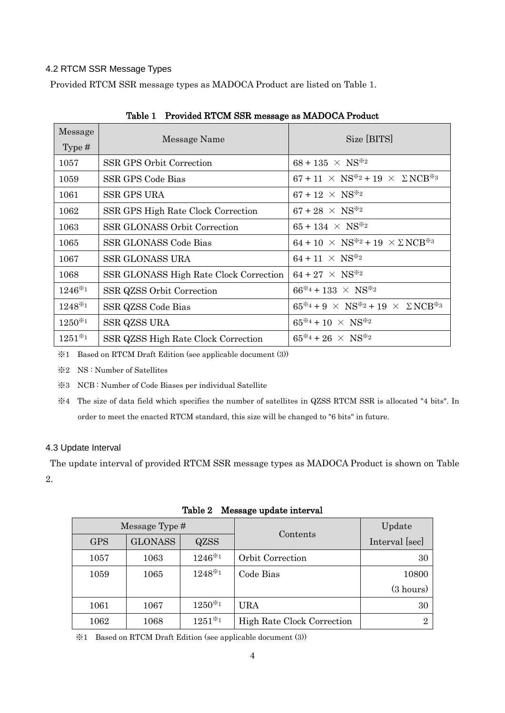## <span id="page-6-0"></span>4.2 RTCM SSR Message Types

Provided RTCM SSR message types as MADOCA Product are listed on [Table 1.](#page-6-2)

<span id="page-6-2"></span>

| Message     | Message Name                           | Size [BITS]                                              |
|-------------|----------------------------------------|----------------------------------------------------------|
| Type $#$    |                                        |                                                          |
| 1057        | SSR GPS Orbit Correction               | $68 + 135 \times NS^{*2}$                                |
| 1059        | SSR GPS Code Bias                      | $67 + 11 \times NS^{*2} + 19 \times \Sigma NCB^{*3}$     |
| 1061        | <b>SSR GPS URA</b>                     | $67 + 12 \times NS^{*2}$                                 |
| 1062        | SSR GPS High Rate Clock Correction     | $67 + 28 \times NS^{*2}$                                 |
| 1063        | <b>SSR GLONASS Orbit Correction</b>    | $65 + 134 \times NS^{*2}$                                |
| 1065        | SSR GLONASS Code Bias                  | $64 + 10 \times NS^{*2} + 19 \times \Sigma NCB^{*3}$     |
| 1067        | <b>SSR GLONASS URA</b>                 | $64 + 11 \times NS^{*2}$                                 |
| 1068        | SSR GLONASS High Rate Clock Correction | $64 + 27 \times NS^{*2}$                                 |
| $1246*1$    | SSR QZSS Orbit Correction              | $66^{*4} + 133 \times NS^{*2}$                           |
| $1248*1$    | SSR QZSS Code Bias                     | $65^{*4} + 9 \times NS^{*2} + 19 \times \Sigma NCB^{*3}$ |
| $1250^{*1}$ | SSR QZSS URA                           | $65^{*4} + 10 \times NS^{*2}$                            |
| $1251*1$    | SSR QZSS High Rate Clock Correction    | $65^{*4} + 26 \times NS^{*2}$                            |

Table 1 Provided RTCM SSR message as MADOCA Product

※1 Based on RTCM Draft Edition (see applicable document (3))

※2 NS : Number of Satellites

※3 NCB : Number of Code Biases per individual Satellite

※4 The size of data field which specifies the number of satellites in QZSS RTCM SSR is allocated "4 bits". In order to meet the enacted RTCM standard, this size will be changed to "6 bits" in future.

### <span id="page-6-1"></span>4.3 Update Interval

The update interval of provided RTCM SSR message types as MADOCA Product is shown on [Table](#page-6-3)  [2.](#page-6-3)

<span id="page-6-3"></span>

| Message Type # |                |             |                            | Update              |
|----------------|----------------|-------------|----------------------------|---------------------|
| <b>GPS</b>     | <b>GLONASS</b> | <b>QZSS</b> | Contents                   | Interval [sec]      |
| 1057           | 1063           | $1246*1$    | Orbit Correction           | 30                  |
| 1059           | 1065           | 1248*1      | Code Bias                  | 10800               |
|                |                |             |                            | $(3 \text{ hours})$ |
| 1061           | 1067           | $1250^{*1}$ | URA                        | 30                  |
| 1062           | 1068           | $1251^{*1}$ | High Rate Clock Correction | $\Omega$            |

Table 2 Message update interval

※1 Based on RTCM Draft Edition (see applicable document (3))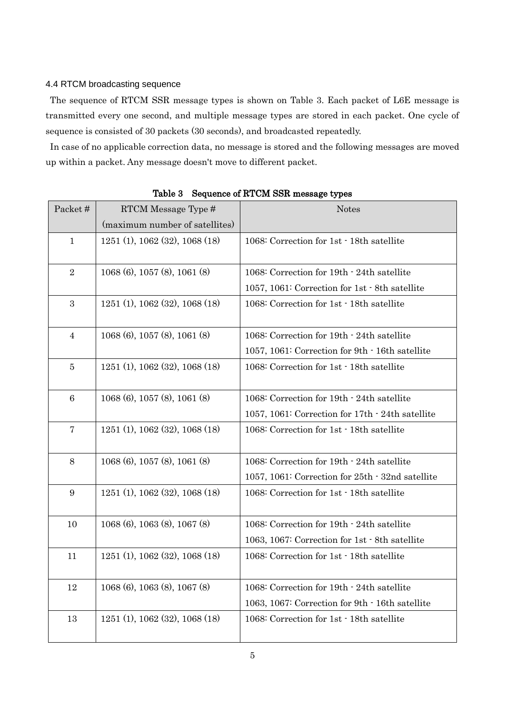### <span id="page-7-0"></span>4.4 RTCM broadcasting sequence

The sequence of RTCM SSR message types is shown on [Table 3.](#page-7-1) Each packet of L6E message is transmitted every one second, and multiple message types are stored in each packet. One cycle of sequence is consisted of 30 packets (30 seconds), and broadcasted repeatedly.

In case of no applicable correction data, no message is stored and the following messages are moved up within a packet. Any message doesn't move to different packet.

<span id="page-7-1"></span>

| Packet#         | RTCM Message Type #               | <b>Notes</b>                                     |
|-----------------|-----------------------------------|--------------------------------------------------|
|                 | (maximum number of satellites)    |                                                  |
| $\mathbf{1}$    | 1251 (1), 1062 (32), 1068 (18)    | 1068: Correction for 1st · 18th satellite        |
| $\overline{2}$  | $1068(6)$ , $1057(8)$ , $1061(8)$ | 1068: Correction for 19th · 24th satellite       |
|                 |                                   | 1057, 1061: Correction for 1st · 8th satellite   |
| 3               | $1251(1)$ , 1062 (32), 1068 (18)  | 1068: Correction for 1st · 18th satellite        |
| $\overline{4}$  | $1068(6)$ , $1057(8)$ , $1061(8)$ | 1068: Correction for 19th - 24th satellite       |
|                 |                                   | 1057, 1061: Correction for 9th - 16th satellite  |
| 5               | 1251(1), 1062(32), 1068(18)       | 1068: Correction for 1st · 18th satellite        |
| $6\phantom{1}6$ | $1068(6)$ , $1057(8)$ , $1061(8)$ | 1068: Correction for 19th - 24th satellite       |
|                 |                                   | 1057, 1061: Correction for 17th · 24th satellite |
| $\overline{7}$  | 1251 (1), 1062 (32), 1068 (18)    | 1068: Correction for 1st · 18th satellite        |
| $8\,$           | $1068(6)$ , $1057(8)$ , $1061(8)$ | 1068: Correction for 19th - 24th satellite       |
|                 |                                   | 1057, 1061: Correction for 25th · 32nd satellite |
| 9               | 1251 (1), 1062 (32), 1068 (18)    | 1068: Correction for 1st · 18th satellite        |
| 10              | 1068 (6), 1063 (8), 1067 (8)      | 1068: Correction for 19th - 24th satellite       |
|                 |                                   | 1063, 1067: Correction for 1st · 8th satellite   |
| 11              | $1251(1)$ , 1062 (32), 1068 (18)  | 1068: Correction for 1st · 18th satellite        |
| 12              | 1068 (6), 1063 (8), 1067 (8)      | 1068: Correction for 19th - 24th satellite       |
|                 |                                   | 1063, 1067: Correction for 9th · 16th satellite  |
| 13              | $1251(1)$ , 1062 (32), 1068 (18)  | 1068: Correction for 1st · 18th satellite        |
|                 |                                   |                                                  |

Table 3 Sequence of RTCM SSR message types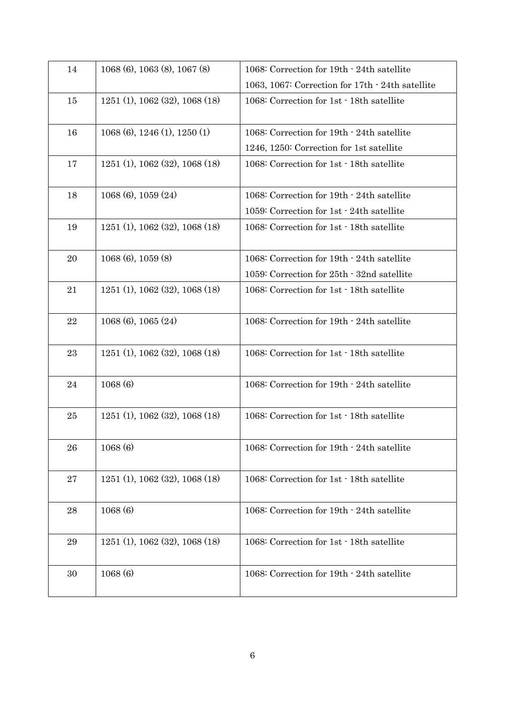| 14          | $1068(6)$ , 1063 $(8)$ , 1067 $(8)$ | 1068: Correction for 19th - 24th satellite       |
|-------------|-------------------------------------|--------------------------------------------------|
|             |                                     | 1063, 1067: Correction for 17th - 24th satellite |
| 15          | 1251(1), 1062(32), 1068(18)         | 1068: Correction for 1st · 18th satellite        |
| 16          | 1068 (6), 1246 (1), 1250 (1)        | 1068: Correction for 19th - 24th satellite       |
|             |                                     | 1246, 1250: Correction for 1st satellite         |
| 17          | 1251(1), 1062(32), 1068(18)         | 1068: Correction for 1st · 18th satellite        |
| 18          | $1068(6)$ , $1059(24)$              | 1068: Correction for 19th - 24th satellite       |
|             |                                     | 1059: Correction for 1st · 24th satellite        |
| 19          | 1251 (1), 1062 (32), 1068 (18)      | 1068: Correction for 1st · 18th satellite        |
| 20          | $1068(6)$ , $1059(8)$               | 1068: Correction for 19th · 24th satellite       |
|             |                                     | 1059: Correction for 25th · 32nd satellite       |
| 21          | 1251(1), 1062(32), 1068(18)         | 1068: Correction for 1st · 18th satellite        |
| $\bf 22$    | $1068(6)$ , $1065(24)$              | 1068: Correction for 19th · 24th satellite       |
| 23          | 1251(1), 1062(32), 1068(18)         | 1068: Correction for 1st · 18th satellite        |
| 24          | 1068(6)                             | 1068: Correction for 19th - 24th satellite       |
| $25\,$      | 1251(1), 1062(32), 1068(18)         | 1068: Correction for 1st · 18th satellite        |
| 26          | 1068(6)                             | 1068: Correction for 19th - 24th satellite       |
| $\sqrt{27}$ | 1251 (1), 1062 (32), 1068 (18)      | 1068: Correction for 1st · 18th satellite        |
| 28          | 1068(6)                             | 1068: Correction for 19th · 24th satellite       |
| 29          | 1251 (1), 1062 (32), 1068 (18)      | 1068: Correction for 1st · 18th satellite        |
| 30          | 1068(6)                             | 1068: Correction for 19th - 24th satellite       |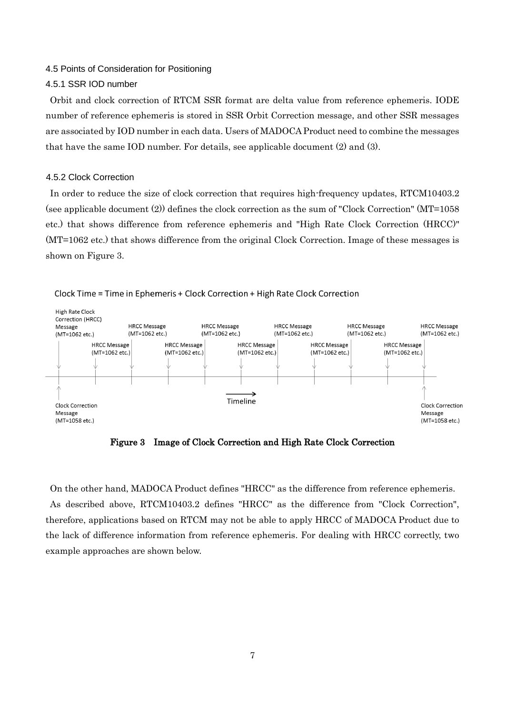#### <span id="page-9-0"></span>4.5 Points of Consideration for Positioning

#### <span id="page-9-1"></span>4.5.1 SSR IOD number

Orbit and clock correction of RTCM SSR format are delta value from reference ephemeris. IODE number of reference ephemeris is stored in SSR Orbit Correction message, and other SSR messages are associated by IOD number in each data. Users of MADOCA Product need to combine the messages that have the same IOD number. For details, see applicable document (2) and (3).

#### <span id="page-9-2"></span>4.5.2 Clock Correction

In order to reduce the size of clock correction that requires high-frequency updates, RTCM10403.2 (see applicable document (2)) defines the clock correction as the sum of "Clock Correction" (MT=1058 etc.) that shows difference from reference ephemeris and "High Rate Clock Correction (HRCC)" (MT=1062 etc.) that shows difference from the original Clock Correction. Image of these messages is shown on [Figure 3.](#page-9-3)



Clock Time = Time in Ephemeris + Clock Correction + High Rate Clock Correction

Figure 3 Image of Clock Correction and High Rate Clock Correction

<span id="page-9-3"></span>On the other hand, MADOCA Product defines "HRCC" as the difference from reference ephemeris. As described above, RTCM10403.2 defines "HRCC" as the difference from "Clock Correction", therefore, applications based on RTCM may not be able to apply HRCC of MADOCA Product due to the lack of difference information from reference ephemeris. For dealing with HRCC correctly, two example approaches are shown below.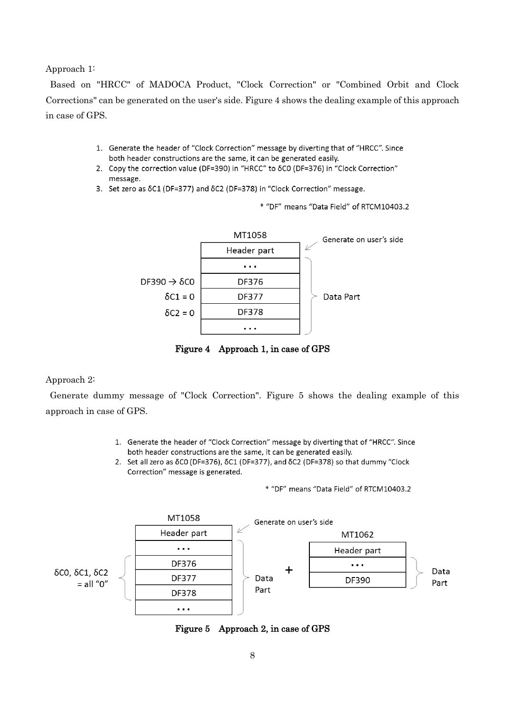Approach 1:

Based on "HRCC" of MADOCA Product, "Clock Correction" or "Combined Orbit and Clock Corrections" can be generated on the user's side. [Figure 4](#page-10-0) shows the dealing example of this approach in case of GPS.

- 1. Generate the header of "Clock Correction" message by diverting that of "HRCC". Since both header constructions are the same, it can be generated easily.
- 2. Copy the correction value (DF=390) in "HRCC" to 8CO (DF=376) in "Clock Correction" message.
- 3. Set zero as  $\delta$ C1 (DF=377) and  $\delta$ C2 (DF=378) in "Clock Correction" message.

\* "DF" means "Data Field" of RTCM10403.2



Figure 4 Approach 1, in case of GPS

#### <span id="page-10-0"></span>Approach 2:

Generate dummy message of "Clock Correction". [Figure 5](#page-10-1) shows the dealing example of this approach in case of GPS.

- 1. Generate the header of "Clock Correction" message by diverting that of "HRCC". Since both header constructions are the same, it can be generated easily.
- 2. Set all zero as δC0 (DF=376), δC1 (DF=377), and δC2 (DF=378) so that dummy "Clock Correction" message is generated.

\* "DF" means "Data Field" of RTCM10403.2

<span id="page-10-1"></span>

Figure 5 Approach 2, in case of GPS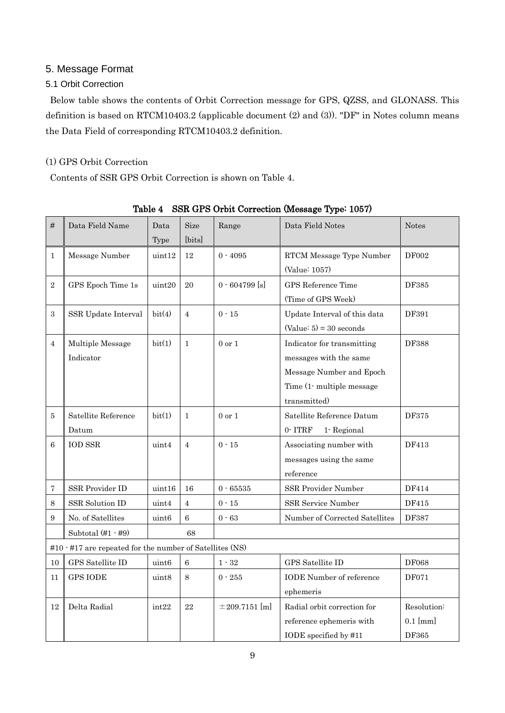## <span id="page-11-0"></span>5. Message Format

## <span id="page-11-1"></span>5.1 Orbit Correction

Below table shows the contents of Orbit Correction message for GPS, QZSS, and GLONASS. This definition is based on RTCM10403.2 (applicable document (2) and (3)). "DF" in Notes column means the Data Field of corresponding RTCM10403.2 definition.

## (1) GPS Orbit Correction

Contents of SSR GPS Orbit Correction is shown on [Table 4.](#page-11-2)

<span id="page-11-2"></span>

| #              | Data Field Name                                          | Data<br>Type      | <b>Size</b><br>[bits] | Range              | Data Field Notes                | <b>Notes</b> |
|----------------|----------------------------------------------------------|-------------------|-----------------------|--------------------|---------------------------------|--------------|
| $\mathbf{1}$   | Message Number                                           | uint12            | 12                    | $0 - 4095$         | RTCM Message Type Number        | <b>DF002</b> |
|                |                                                          |                   |                       | (Value: 1057)      |                                 |              |
| $\overline{2}$ | GPS Epoch Time 1s                                        | uint20            | 20                    | $0.604799$ [s]     | GPS Reference Time              | DF385        |
|                |                                                          |                   |                       |                    | (Time of GPS Week)              |              |
| 3              | SSR Update Interval                                      | bit(4)            | $\overline{4}$        | $0 - 15$           | Update Interval of this data    | DF391        |
|                |                                                          |                   |                       |                    | $(Value: 5) = 30 seconds$       |              |
| $\overline{4}$ | Multiple Message                                         | bit(1)            | $\mathbf{1}$          | $0$ or $1$         | Indicator for transmitting      | <b>DF388</b> |
|                | Indicator                                                |                   |                       |                    | messages with the same          |              |
|                |                                                          |                   |                       |                    | Message Number and Epoch        |              |
|                |                                                          |                   |                       |                    | Time (1- multiple message       |              |
|                |                                                          |                   |                       |                    | transmitted)                    |              |
| 5              | Satellite Reference                                      | bit(1)            | $\mathbf{1}$          | $0$ or $1$         | Satellite Reference Datum       | DF375        |
|                | Datum                                                    |                   |                       |                    | 0-ITRF<br>1-Regional            |              |
| 6              | <b>IOD SSR</b>                                           | uint4             | $\overline{4}$        | $0 - 15$           | Associating number with         | DF413        |
|                |                                                          |                   |                       |                    | messages using the same         |              |
|                |                                                          |                   |                       |                    | reference                       |              |
| 7              | SSR Provider ID                                          | uint16            | 16                    | $0 - 65535$        | SSR Provider Number             | DF414        |
| 8              | SSR Solution ID                                          | uint4             | $\overline{4}$        | $0 - 15$           | SSR Service Number              | DF415        |
| 9              | No. of Satellites                                        | uint <sub>6</sub> | 6                     | $0 - 63$           | Number of Corrected Satellites  | DF387        |
|                | Subtotal $(\#1 - \#9)$                                   |                   | 68                    |                    |                                 |              |
|                | #10 · #17 are repeated for the number of Satellites (NS) |                   |                       |                    |                                 |              |
| $10\,$         | GPS Satellite ID                                         | uint <sub>6</sub> | 6                     | $1 - 32$           | GPS Satellite ID                | <b>DF068</b> |
| 11             | <b>GPS IODE</b>                                          | uint8             | 8                     | $0 - 255$          | <b>IODE</b> Number of reference | <b>DF071</b> |
|                |                                                          |                   |                       |                    | ephemeris                       |              |
| 12             | Delta Radial                                             | int22             | 22                    | $\pm 209.7151$ [m] | Radial orbit correction for     | Resolution:  |
|                |                                                          |                   |                       |                    | reference ephemeris with        | $0.1$ [mm]   |
|                |                                                          |                   |                       |                    | IODE specified by #11           | DF365        |

Table 4 SSR GPS Orbit Correction (Message Type: 1057)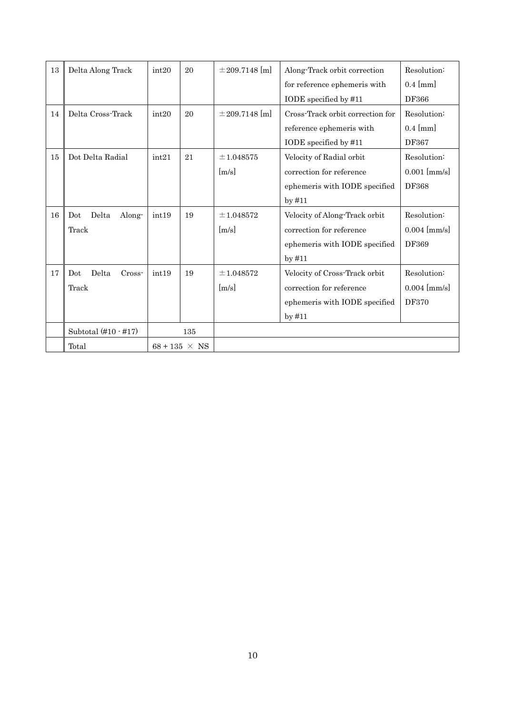| 13 | Delta Along Track        | int20 | 20                   | $\pm$ 209.7148 [m]  | Along-Track orbit correction     | Resolution:    |
|----|--------------------------|-------|----------------------|---------------------|----------------------------------|----------------|
|    |                          |       |                      |                     | for reference ephemeris with     | $0.4$ [mm]     |
|    |                          |       |                      |                     | IODE specified by #11            | DF366          |
| 14 | Delta Cross-Track        | int20 | 20                   | $\pm 209.7148$ [m]  | Cross-Track orbit correction for | Resolution:    |
|    |                          |       |                      |                     | reference ephemeris with         | $0.4$ [mm]     |
|    |                          |       |                      |                     | IODE specified by #11            | DF367          |
| 15 | Dot Delta Radial         | int21 | 21                   | ±1.048575           | Velocity of Radial orbit         | Resolution:    |
|    |                          |       |                      | $\lceil m/s \rceil$ | correction for reference         | $0.001$ [mm/s] |
|    |                          |       |                      |                     | ephemeris with IODE specified    | <b>DF368</b>   |
|    |                          |       |                      |                     | $by$ #11                         |                |
| 16 | Delta<br>Along-<br>Dot   | int19 | 19                   | $\pm 1.048572$      | Velocity of Along-Track orbit    | Resolution:    |
|    | Track                    |       |                      | $\lceil m/s \rceil$ | correction for reference         | $0.004$ [mm/s] |
|    |                          |       |                      |                     | ephemeris with IODE specified    | DF369          |
|    |                          |       |                      |                     | $by$ #11                         |                |
| 17 | Delta<br>Cross-<br>Dot   | int19 | 19                   | $\pm 1.048572$      | Velocity of Cross-Track orbit    | Resolution:    |
|    | Track                    |       |                      | [m/s]               | correction for reference         | $0.004$ [mm/s] |
|    |                          |       |                      |                     | ephemeris with IODE specified    | <b>DF370</b>   |
|    |                          |       |                      |                     | $by$ #11                         |                |
|    | Subtotal $(\#10 - \#17)$ |       | 135                  |                     |                                  |                |
|    | Total                    |       | $68 + 135 \times NS$ |                     |                                  |                |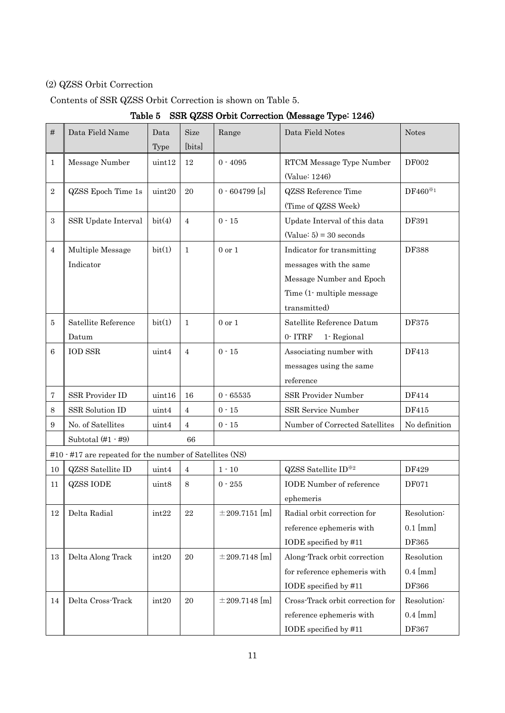# (2) QZSS Orbit Correction

## <span id="page-13-0"></span>Contents of SSR QZSS Orbit Correction is shown on [Table 5.](#page-13-0)

Table 5 SSR QZSS Orbit Correction (Message Type: 1246)

| #              | Data Field Name                                                      | Data              | <b>Size</b>    | Range              | Data Field Notes                 | <b>Notes</b>  |
|----------------|----------------------------------------------------------------------|-------------------|----------------|--------------------|----------------------------------|---------------|
|                |                                                                      | Type              | [bits]         |                    |                                  |               |
| $\mathbf{1}$   | Message Number                                                       | $\text{uint12}$   | 12             | $0 - 4095$         | RTCM Message Type Number         | DF002         |
|                |                                                                      |                   |                |                    | (Value: 1246)                    |               |
| $\overline{2}$ | QZSS Epoch Time 1s                                                   | uint20            | 20             | $0 - 604799$ [s]   | <b>QZSS</b> Reference Time       | DF460*1       |
|                |                                                                      |                   |                |                    | (Time of QZSS Week)              |               |
| 3              | SSR Update Interval                                                  | bit(4)            | $\overline{4}$ | $0 - 15$           | Update Interval of this data     | DF391         |
|                |                                                                      |                   |                |                    | $(Value: 5) = 30 seconds$        |               |
| $\overline{4}$ | Multiple Message                                                     | bit(1)            | $\mathbf{1}$   | $0$ or $1$         | Indicator for transmitting       | <b>DF388</b>  |
|                | Indicator                                                            |                   |                |                    | messages with the same           |               |
|                |                                                                      |                   |                |                    | Message Number and Epoch         |               |
|                |                                                                      |                   |                |                    | Time (1-multiple message)        |               |
|                |                                                                      |                   |                |                    | transmitted)                     |               |
| 5              | Satellite Reference                                                  | bit(1)            | 1              | $0$ or $1$         | Satellite Reference Datum        | DF375         |
|                | Datum                                                                |                   |                |                    | 0-ITRF<br>1-Regional             |               |
| 6              | <b>IOD SSR</b>                                                       | uint4             | $\overline{4}$ | $0 - 15$           | Associating number with          | DF413         |
|                |                                                                      |                   |                |                    | messages using the same          |               |
|                |                                                                      |                   |                |                    | reference                        |               |
| 7              | SSR Provider ID                                                      | uint16            | 16             | $0 - 65535$        | SSR Provider Number              | DF414         |
| $\,8\,$        | SSR Solution ID                                                      | uint4             | $\overline{4}$ | $0 - 15$           | SSR Service Number               | DF415         |
| 9              | No. of Satellites                                                    | uint4             | 4              | $0$ - $15\,$       | Number of Corrected Satellites   | No definition |
|                | Subtotal $(\#1 - \#9)$                                               |                   | 66             |                    |                                  |               |
|                | $\#10$ $\cdot$ $\#17$ are repeated for the number of Satellites (NS) |                   |                |                    |                                  |               |
| 10             | $QZSS$ Satellite ${\rm ID}$                                          | uint4             | $\overline{4}$ | $1 - 10$           | QZSS Satellite ID <sup>*2</sup>  | DF429         |
| 11             | <b>QZSS IODE</b>                                                     | uint <sub>8</sub> | 8              | $0 - 255$          | <b>IODE</b> Number of reference  | DF071         |
|                |                                                                      |                   |                |                    | ephemeris                        |               |
| 12             | Delta Radial                                                         | int22             | 22             | $\pm 209.7151$ [m] | Radial orbit correction for      | Resolution:   |
|                |                                                                      |                   |                |                    | reference ephemeris with         | $0.1$ [mm]    |
|                |                                                                      |                   |                |                    | IODE specified by #11            | DF365         |
| 13             | Delta Along Track                                                    | int20             | 20             | $\pm 209.7148$ [m] | Along-Track orbit correction     | Resolution    |
|                |                                                                      |                   |                |                    | for reference ephemeris with     | $0.4$ [mm]    |
|                |                                                                      |                   |                |                    | IODE specified by #11            | DF366         |
| 14             | Delta Cross-Track                                                    | int20             | 20             | $\pm 209.7148$ [m] | Cross-Track orbit correction for | Resolution:   |
|                |                                                                      |                   |                |                    | reference ephemeris with         | $0.4$ [mm]    |
|                |                                                                      |                   |                |                    | IODE specified by #11            | DF367         |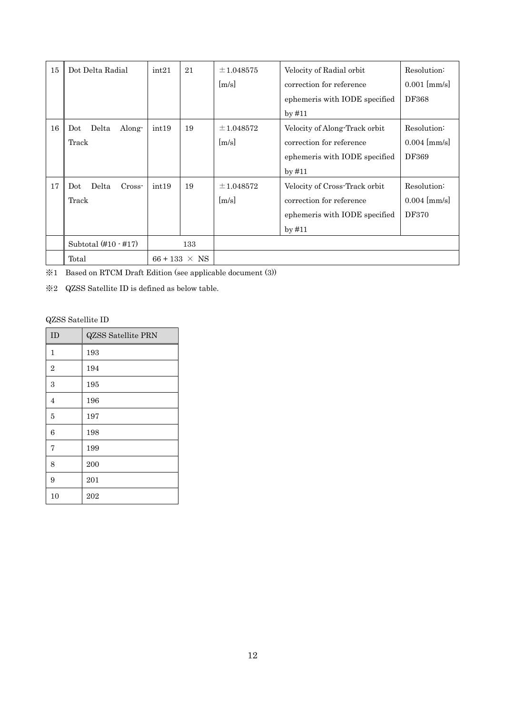| 15 | Dot Delta Radial                | int21 | 21                   | $\pm 1.048575$ | Velocity of Radial orbit      | Resolution:    |
|----|---------------------------------|-------|----------------------|----------------|-------------------------------|----------------|
|    |                                 |       |                      | [m/s]          | correction for reference      | $0.001$ [mm/s] |
|    |                                 |       |                      |                | ephemeris with IODE specified | <b>DF368</b>   |
|    |                                 |       |                      |                | $by$ #11                      |                |
| 16 | Delta<br>Along-<br>Dot          | int19 | 19                   | $\pm 1.048572$ | Velocity of Along-Track orbit | Resolution:    |
|    | Track                           |       |                      | m/s            | correction for reference      | $0.004$ [mm/s] |
|    |                                 |       |                      |                | ephemeris with IODE specified | DF369          |
|    |                                 |       |                      |                | $by$ #11                      |                |
| 17 | Delta<br>Cross-<br>Dot          | int19 | 19                   | $\pm 1.048572$ | Velocity of Cross-Track orbit | Resolution:    |
|    | Track                           |       |                      | m/s            | correction for reference      | $0.004$ [mm/s] |
|    |                                 |       |                      |                | ephemeris with IODE specified | DF370          |
|    |                                 |       |                      |                | $by$ #11                      |                |
|    | Subtotal $(\#10 - \#17)$<br>133 |       |                      |                |                               |                |
|    | Total                           |       | $66 + 133 \times NS$ |                |                               |                |

※1 Based on RTCM Draft Edition (see applicable document (3))

※2 QZSS Satellite ID is defined as below table.

## QZSS Satellite ID

| ID             | <b>QZSS</b> Satellite PRN |
|----------------|---------------------------|
| $\mathbf{1}$   | 193                       |
| $\overline{2}$ | 194                       |
| 3              | 195                       |
| 4              | 196                       |
| 5              | 197                       |
| 6              | 198                       |
| 7              | 199                       |
| 8              | 200                       |
| 9              | 201                       |
| 10             | 202                       |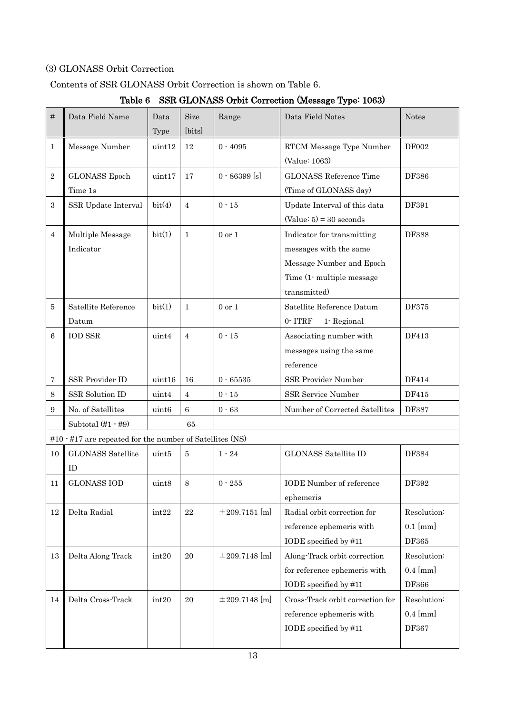## (3) GLONASS Orbit Correction

## <span id="page-15-0"></span>Contents of SSR GLONASS Orbit Correction is shown on [Table 6.](#page-15-0)

|  |  | Table 6 SSR GLONASS Orbit Correction (Message Type: 1063) |  |  |  |  |  |
|--|--|-----------------------------------------------------------|--|--|--|--|--|
|--|--|-----------------------------------------------------------|--|--|--|--|--|

| #              | Data Field Name                                          | Data<br>Type      | Size<br>[bits] | Range              | Data Field Notes                                                                                                               | <b>Notes</b>                              |
|----------------|----------------------------------------------------------|-------------------|----------------|--------------------|--------------------------------------------------------------------------------------------------------------------------------|-------------------------------------------|
| $\mathbf{1}$   | Message Number                                           | $\text{uint12}$   | 12             | $0 - 4095$         | RTCM Message Type Number<br>(Value: 1063)                                                                                      | DF002                                     |
| $\sqrt{2}$     | <b>GLONASS</b> Epoch<br>Time 1s                          | uint17            | 17             | $0 - 86399$ [s]    | <b>GLONASS Reference Time</b><br>(Time of GLONASS day)                                                                         | DF386                                     |
| 3              | SSR Update Interval                                      | bit(4)            | $\overline{4}$ | $0 - 15$           | Update Interval of this data<br>$(Value: 5) = 30 seconds$                                                                      | DF391                                     |
| $\overline{4}$ | Multiple Message<br>Indicator                            | bit(1)            | $\mathbf{1}$   | $0$ or $1$         | Indicator for transmitting<br>messages with the same<br>Message Number and Epoch<br>Time (1- multiple message)<br>transmitted) | DF388                                     |
| 5              | Satellite Reference<br>Datum                             | bit(1)            | $\mathbf{1}$   | $0$ or $1$         | Satellite Reference Datum<br>$0-$ ITRF<br>1-Regional                                                                           | DF375                                     |
| 6              | <b>IOD SSR</b>                                           | uint4             | $\overline{4}$ | $0 - 15$           | Associating number with<br>messages using the same<br>reference                                                                | DF413                                     |
| 7              | SSR Provider ID                                          | uint16            | 16             | $0 - 65535$        | SSR Provider Number                                                                                                            | DF414                                     |
| 8              | SSR Solution ID                                          | uint4             | 4              | $0 - 15$           | SSR Service Number                                                                                                             | DF415                                     |
| 9              | No. of Satellites                                        | uint <sub>6</sub> | $\,6\,$        | $0 - 63$           | Number of Corrected Satellites                                                                                                 | DF387                                     |
|                | Subtotal $(\#1 - \#9)$                                   |                   | 65             |                    |                                                                                                                                |                                           |
|                | #10 · #17 are repeated for the number of Satellites (NS) |                   |                |                    |                                                                                                                                |                                           |
| 10             | <b>GLONASS</b> Satellite<br><b>ID</b>                    | uint5             | 5              | $1 - 24$           | <b>GLONASS Satellite ID</b>                                                                                                    | DF384                                     |
| 11             | <b>GLONASS IOD</b>                                       | uint8             | 8              | $0 - 255$          | <b>IODE</b> Number of reference<br>ephemeris                                                                                   | DF392                                     |
| 12             | Delta Radial                                             | int22             | 22             | $\pm 209.7151$ [m] | Radial orbit correction for<br>reference ephemeris with<br>IODE specified by #11                                               | Resolution:<br>$0.1$ [mm]<br>DF365        |
| 13             | Delta Along Track                                        | int20             | 20             | $\pm 209.7148$ [m] | Along-Track orbit correction<br>for reference ephemeris with<br>IODE specified by #11                                          | Resolution:<br>$0.4$ [mm]<br><b>DF366</b> |
| 14             | Delta Cross-Track                                        | int20             | $20\,$         | $\pm 209.7148$ [m] | Cross-Track orbit correction for<br>reference ephemeris with<br>IODE specified by #11                                          | Resolution:<br>$0.4$ [mm]<br>DF367        |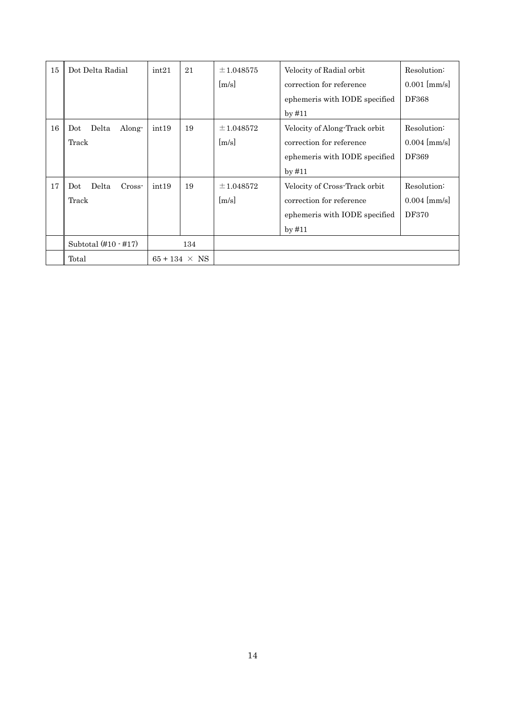| 15 | Dot Delta Radial                  | int21 | 21                          | $\pm 1.048575$<br>[m/s] | Velocity of Radial orbit<br>correction for reference<br>ephemeris with IODE specified<br>$by$ #11      | Resolution:<br>$0.001$ [mm/s]<br><b>DF368</b> |
|----|-----------------------------------|-------|-----------------------------|-------------------------|--------------------------------------------------------------------------------------------------------|-----------------------------------------------|
| 16 | Delta<br>Dot<br>Along-<br>Track   | int19 | 19                          | $\pm 1.048572$<br> m/s  | Velocity of Along-Track orbit<br>correction for reference<br>ephemeris with IODE specified<br>$by$ #11 | Resolution:<br>$0.004$ [mm/s]<br>DF369        |
| 17 | Delta<br>$Cross-$<br>Dot<br>Track | int19 | 19                          | $\pm 1.048572$<br>[m/s] | Velocity of Cross-Track orbit<br>correction for reference<br>ephemeris with IODE specified<br>$by$ #11 | Resolution:<br>$0.004$ [mm/s]<br><b>DF370</b> |
|    | Subtotal $(\#10 - \#17)$<br>Total |       | 134<br>$65 + 134 \times NS$ |                         |                                                                                                        |                                               |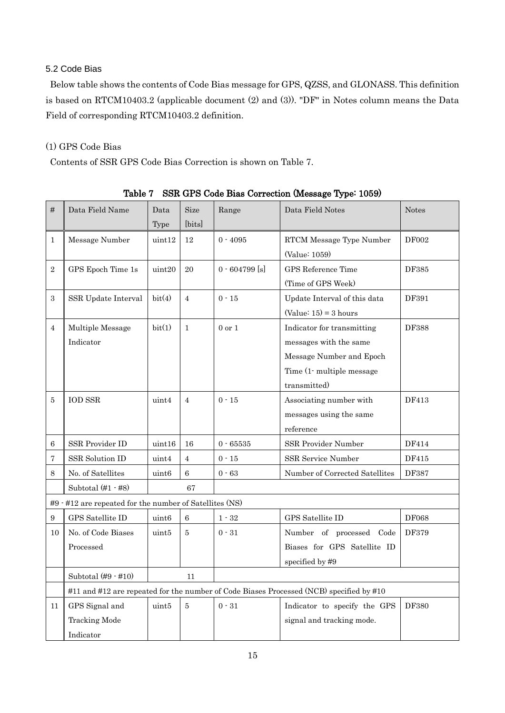## <span id="page-17-0"></span>5.2 Code Bias

Below table shows the contents of Code Bias message for GPS, QZSS, and GLONASS. This definition is based on RTCM10403.2 (applicable document (2) and (3)). "DF" in Notes column means the Data Field of corresponding RTCM10403.2 definition.

## (1) GPS Code Bias

Contents of SSR GPS Code Bias Correction is shown on [Table 7.](#page-17-1)

<span id="page-17-1"></span>

| #                | Data Field Name                                         | Data              | <b>Size</b>    | Range            | Data Field Notes                                                                        | <b>Notes</b> |
|------------------|---------------------------------------------------------|-------------------|----------------|------------------|-----------------------------------------------------------------------------------------|--------------|
|                  |                                                         | <b>Type</b>       | [bits]         |                  |                                                                                         |              |
| $\mathbf{1}$     | Message Number                                          | uint12            | 12             | $0 - 4095$       | RTCM Message Type Number                                                                | <b>DF002</b> |
|                  |                                                         |                   |                |                  | (Value: 1059)                                                                           |              |
| $\overline{2}$   | GPS Epoch Time 1s                                       | uint20            | 20             | $0 - 604799$ [s] | GPS Reference Time                                                                      | DF385        |
|                  |                                                         |                   |                |                  | (Time of GPS Week)                                                                      |              |
| 3                | SSR Update Interval                                     | bit(4)            | $\overline{4}$ | $0 - 15$         | Update Interval of this data                                                            | DF391        |
|                  |                                                         |                   |                |                  | $(Value: 15) = 3 hours$                                                                 |              |
| $\overline{4}$   | Multiple Message                                        | bit(1)            | $\mathbf{1}$   | $0$ or $1$       | Indicator for transmitting                                                              | <b>DF388</b> |
|                  | Indicator                                               |                   |                |                  | messages with the same                                                                  |              |
|                  |                                                         |                   |                |                  | Message Number and Epoch                                                                |              |
|                  |                                                         |                   |                |                  | Time (1-multiple message)                                                               |              |
|                  |                                                         |                   |                |                  | transmitted)                                                                            |              |
| 5                | <b>IOD SSR</b>                                          | uint4             | $\overline{4}$ | $0 - 15$         | Associating number with                                                                 | DF413        |
|                  |                                                         |                   |                |                  | messages using the same                                                                 |              |
|                  |                                                         |                   |                |                  | reference                                                                               |              |
| 6                | SSR Provider ID                                         | uint16            | 16             | $0 - 65535$      | SSR Provider Number                                                                     | DF414        |
| 7                | SSR Solution ID                                         | uint4             | $\overline{4}$ | $0$ - $15\,$     | SSR Service Number                                                                      | DF415        |
| 8                | No. of Satellites                                       | uint <sub>6</sub> | $\,6\,$        | $0 - 63$         | Number of Corrected Satellites                                                          | <b>DF387</b> |
|                  | Subtotal $(\#1 - \#8)$                                  |                   | 67             |                  |                                                                                         |              |
|                  | #9 · #12 are repeated for the number of Satellites (NS) |                   |                |                  |                                                                                         |              |
| $\boldsymbol{9}$ | GPS Satellite ID                                        | uint <sub>6</sub> | 6              | $1 - 32$         | GPS Satellite ID                                                                        | <b>DF068</b> |
| 10               | No. of Code Biases                                      | uint5             | 5              | $0 - 31$         | Number of processed Code                                                                | DF379        |
|                  | Processed                                               |                   |                |                  | Biases for GPS Satellite ID                                                             |              |
|                  |                                                         |                   |                |                  | specified by #9                                                                         |              |
|                  | Subtotal $(\#9 \cdot \#10)$                             |                   | 11             |                  |                                                                                         |              |
|                  |                                                         |                   |                |                  | #11 and #12 are repeated for the number of Code Biases Processed (NCB) specified by #10 |              |
| 11               | GPS Signal and                                          | uint5             | 5              | $0 - 31$         | Indicator to specify the GPS                                                            | DF380        |
|                  | <b>Tracking Mode</b>                                    |                   |                |                  | signal and tracking mode.                                                               |              |
|                  | Indicator                                               |                   |                |                  |                                                                                         |              |

Table 7 SSR GPS Code Bias Correction (Message Type: 1059)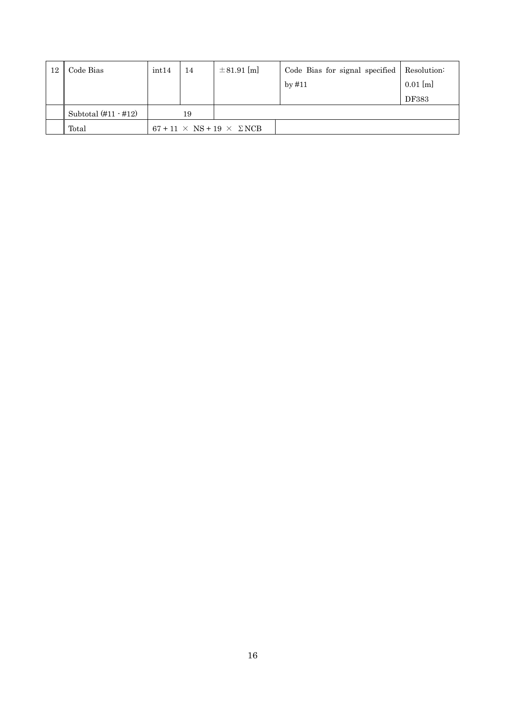| 12 | Code Bias                | int14 | 14 | $\pm 81.91$ [m]                            | Code Bias for signal specified | Resolution:  |
|----|--------------------------|-------|----|--------------------------------------------|--------------------------------|--------------|
|    |                          |       |    |                                            | by $\#11$                      | $0.01$ [m]   |
|    |                          |       |    |                                            |                                | <b>DF383</b> |
|    | Subtotal $(\#11 - \#12)$ |       | 19 |                                            |                                |              |
|    | Total                    |       |    | $67 + 11 \times NS + 19 \times \Sigma NCB$ |                                |              |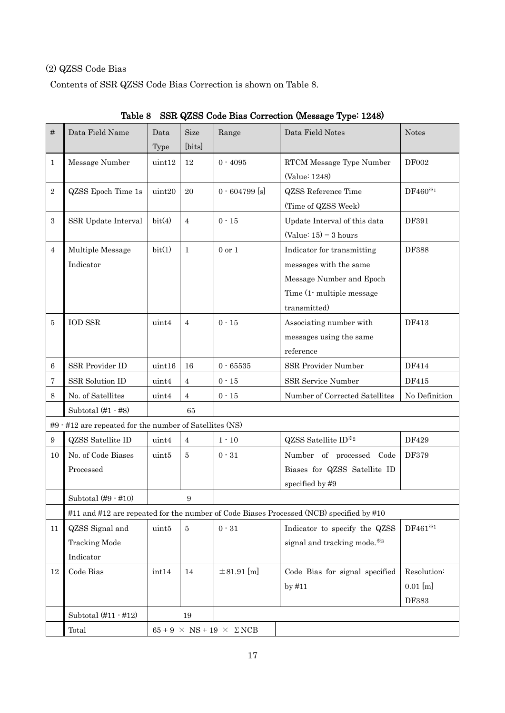## (2) QZSS Code Bias

Contents of SSR QZSS Code Bias Correction is shown on [Table 8.](#page-19-0)

<span id="page-19-0"></span>

| #              | Data Field Name                                                    | Data   | <b>Size</b>    | Range                                     | Data Field Notes                                                                        | <b>Notes</b>  |
|----------------|--------------------------------------------------------------------|--------|----------------|-------------------------------------------|-----------------------------------------------------------------------------------------|---------------|
|                |                                                                    | Type   | [bits]         |                                           |                                                                                         |               |
| 1              | Message Number                                                     | uint12 | 12             | $0 - 4095$                                | RTCM Message Type Number                                                                | <b>DF002</b>  |
|                |                                                                    |        |                |                                           | (Value: 1248)                                                                           |               |
| $\sqrt{2}$     | QZSS Epoch Time 1s                                                 | uint20 | 20             | $0 - 604799$ [s]                          | <b>QZSS</b> Reference Time                                                              | DF460*1       |
|                |                                                                    |        |                |                                           | (Time of QZSS Week)                                                                     |               |
| $\sqrt{3}$     | SSR Update Interval                                                | bit(4) | $\overline{4}$ | $0 - 15$                                  | Update Interval of this data                                                            | DF391         |
|                |                                                                    |        |                |                                           | $(Value: 15) = 3 hours$                                                                 |               |
| $\overline{4}$ | Multiple Message                                                   | bit(1) | $\mathbf{1}$   | $0$ or $1$                                | Indicator for transmitting                                                              | <b>DF388</b>  |
|                | Indicator                                                          |        |                |                                           | messages with the same                                                                  |               |
|                |                                                                    |        |                |                                           | Message Number and Epoch                                                                |               |
|                |                                                                    |        |                |                                           | Time (1- multiple message)                                                              |               |
|                |                                                                    |        |                |                                           | transmitted)                                                                            |               |
| 5              | <b>IOD SSR</b>                                                     | uint4  | 4              | $0 - 15$                                  | Associating number with                                                                 | DF413         |
|                |                                                                    |        |                |                                           | messages using the same                                                                 |               |
|                |                                                                    |        |                |                                           | reference                                                                               |               |
| 6              | SSR Provider ID                                                    | uint16 | 16             | $0 - 65535$                               | SSR Provider Number                                                                     | DF414         |
| 7              | SSR Solution ID                                                    | uint4  | 4              | $0 - 15$                                  | SSR Service Number                                                                      | DF415         |
| 8              | No. of Satellites                                                  | uint4  | 4              | $0 - 15$                                  | Number of Corrected Satellites                                                          | No Definition |
|                | Subtotal $(\#1 - \#8)$                                             |        | 65             |                                           |                                                                                         |               |
|                | $\#9$ $\div$ $\#12$ are repeated for the number of Satellites (NS) |        |                |                                           |                                                                                         |               |
| 9              | <b>QZSS</b> Satellite ID                                           | uint4  | 4              | $1 - 10$                                  | QZSS Satellite ID*2                                                                     | DF429         |
| 10             | No. of Code Biases                                                 | uint5  | 5              | $0 - 31$                                  | Number of processed Code                                                                | DF379         |
|                | Processed                                                          |        |                |                                           | Biases for QZSS Satellite ID                                                            |               |
|                |                                                                    |        |                |                                           | specified by #9                                                                         |               |
|                | Subtotal $(\#9 - \#10)$                                            |        | 9              |                                           |                                                                                         |               |
|                |                                                                    |        |                |                                           | #11 and #12 are repeated for the number of Code Biases Processed (NCB) specified by #10 |               |
| 11             | QZSS Signal and                                                    | uint5  | 5              | $0 - 31$                                  | Indicator to specify the QZSS                                                           | $DF461^{*1}$  |
|                | <b>Tracking Mode</b>                                               |        |                |                                           | signal and tracking mode. <sup>383</sup>                                                |               |
|                | Indicator                                                          |        |                |                                           |                                                                                         |               |
| 12             | Code Bias                                                          | int14  | 14             | $\pm 81.91$ [m]                           | Code Bias for signal specified                                                          | Resolution:   |
|                |                                                                    |        |                |                                           | by $#11$                                                                                | $0.01$ [m]    |
|                |                                                                    |        |                |                                           |                                                                                         | DF383         |
|                | Subtotal $(\#11 - \#12)$                                           |        | 19             |                                           |                                                                                         |               |
|                | Total                                                              |        |                | $65 + 9 \times NS + 19 \times \Sigma NCB$ |                                                                                         |               |

Table 8 SSR QZSS Code Bias Correction (Message Type: 1248)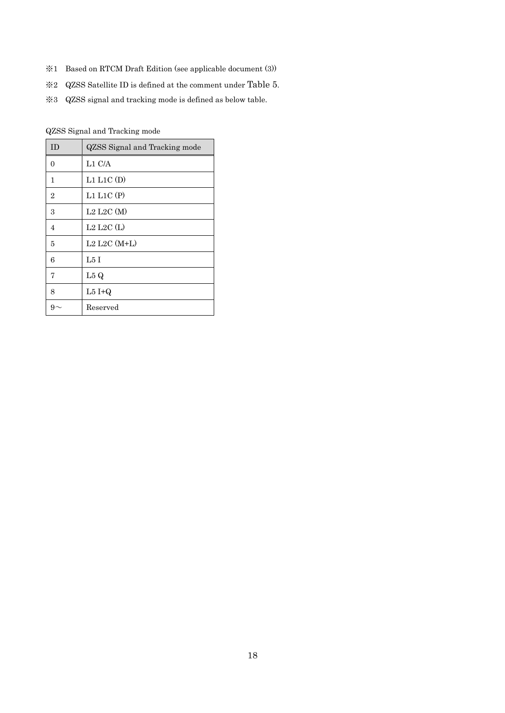- ※1 Based on RTCM Draft Edition (see applicable document (3))
- ※2 QZSS Satellite ID is defined at the comment under [Table 5](#page-13-0).
- ※3 QZSS signal and tracking mode is defined as below table.

QZSS Signal and Tracking mode

| <b>ID</b>      | QZSS Signal and Tracking mode |
|----------------|-------------------------------|
| $\Omega$       | L1 C/A                        |
| $\mathbf{1}$   | L1 L1C(D)                     |
| $\overline{2}$ | $L1$ $L1C$ $(P)$              |
| 3              | $L2$ $L2C$ $(M)$              |
| $\overline{4}$ | $L2$ $L2C$ (L)                |
| 5              | $L2$ $L2C$ $(M+L)$            |
| 6              | L5I                           |
| $\overline{7}$ | L5 Q                          |
| 8              | $L5I+Q$                       |
|                | Reserved                      |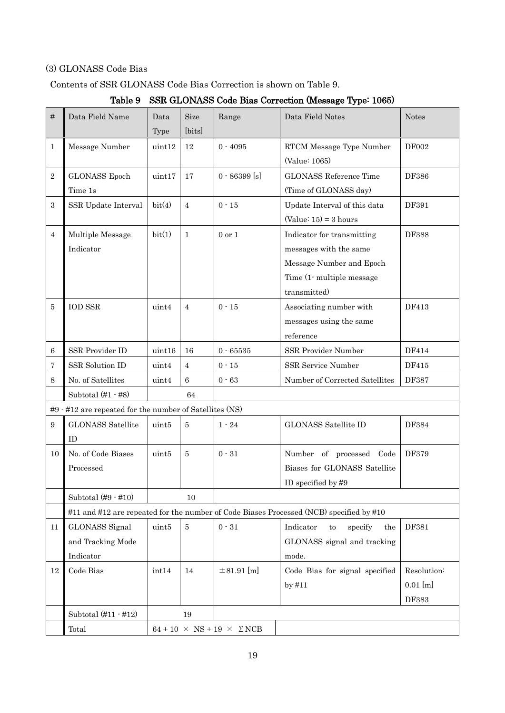## (3) GLONASS Code Bias

<span id="page-21-0"></span>Contents of SSR GLONASS Code Bias Correction is shown on [Table 9.](#page-21-0)

| #                | Data Field Name                                                    | Data<br>Type  | Size<br>[bits]  | Range                                      | Data Field Notes                                                                                                              | <b>Notes</b>                       |
|------------------|--------------------------------------------------------------------|---------------|-----------------|--------------------------------------------|-------------------------------------------------------------------------------------------------------------------------------|------------------------------------|
| $\mathbf{1}$     | Message Number                                                     | $\tt{uint12}$ | 12              | $0 - 4095$                                 | RTCM Message Type Number<br>(Value: 1065)                                                                                     | <b>DF002</b>                       |
| $\,2$            | <b>GLONASS</b> Epoch<br>Time 1s                                    | uint17        | 17              | $0 - 86399$ [s]                            | <b>GLONASS Reference Time</b><br>(Time of GLONASS day)                                                                        | <b>DF386</b>                       |
| $\,3$            | SSR Update Interval                                                | bit(4)        | $\overline{4}$  | $0 - 15$                                   | Update Interval of this data<br>$(Value: 15) = 3 hours$                                                                       | DF391                              |
| 4                | Multiple Message<br>Indicator                                      | bit(1)        | $\mathbf{1}$    | $0$ or $1$                                 | Indicator for transmitting<br>messages with the same<br>Message Number and Epoch<br>Time (1- multiple message<br>transmitted) | <b>DF388</b>                       |
| $\bf 5$          | <b>IOD SSR</b>                                                     | uint4         | $\overline{4}$  | $0 - 15$                                   | Associating number with<br>messages using the same<br>reference                                                               | DF413                              |
| 6                | SSR Provider ID                                                    | uint16        | 16              | $0 - 65535$                                | SSR Provider Number                                                                                                           | DF414                              |
| 7                | SSR Solution ID                                                    | uint4         | 4               | $0 - 15$                                   | SSR Service Number                                                                                                            | DF415                              |
| 8                | No. of Satellites                                                  | uint4         | $6\phantom{.}6$ | $0 - 63$                                   | Number of Corrected Satellites                                                                                                | DF387                              |
|                  | Subtotal $(\#1 - \#8)$                                             |               | 64              |                                            |                                                                                                                               |                                    |
|                  | $\#9$ $\div$ $\#12$ are repeated for the number of Satellites (NS) |               |                 |                                            |                                                                                                                               |                                    |
| $\boldsymbol{9}$ | <b>GLONASS Satellite</b><br>ID                                     | uint5         | $\overline{5}$  | $1 - 24$                                   | <b>GLONASS Satellite ID</b>                                                                                                   | DF384                              |
| 10               | No. of Code Biases<br>Processed                                    | uint5         | 5               | $0 - 31$                                   | Number of processed Code<br>Biases for GLONASS Satellite<br>ID specified by #9                                                | DF379                              |
|                  | Subtotal $(#9 - #10)$                                              |               | 10              |                                            |                                                                                                                               |                                    |
|                  |                                                                    |               |                 |                                            | #11 and #12 are repeated for the number of Code Biases Processed (NCB) specified by #10                                       |                                    |
| 11               | <b>GLONASS</b> Signal<br>and Tracking Mode<br>Indicator            | uint5         | $\overline{5}$  | $0 - 31$                                   | Indicator<br>to<br>specify<br>the<br>GLONASS signal and tracking<br>mode.                                                     | DF381                              |
| 12               | Code Bias                                                          | int14         | 14              | $\pm 81.91$ [m]                            | Code Bias for signal specified<br>by $#11$                                                                                    | Resolution:<br>$0.01$ [m]<br>DF383 |
|                  | Subtotal $(\#11 - \#12)$                                           |               | 19              |                                            |                                                                                                                               |                                    |
|                  | Total                                                              |               |                 | $64 + 10 \times NS + 19 \times \Sigma NCB$ |                                                                                                                               |                                    |

# Table 9 SSR GLONASS Code Bias Correction (Message Type: 1065)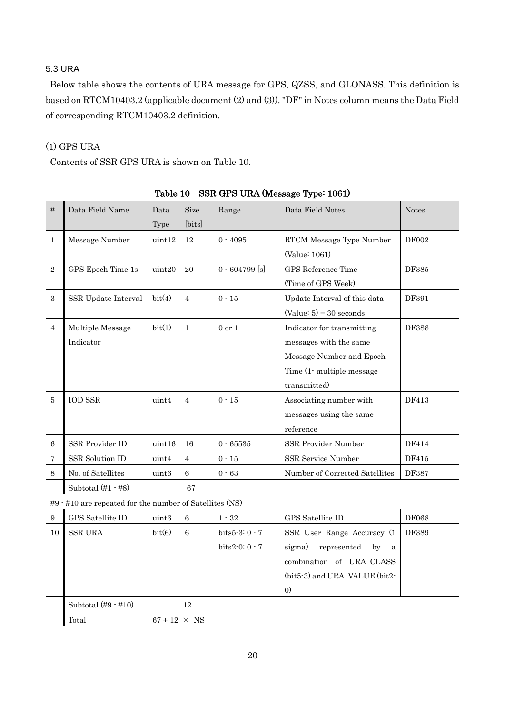## <span id="page-22-0"></span>5.3 URA

Below table shows the contents of URA message for GPS, QZSS, and GLONASS. This definition is based on RTCM10403.2 (applicable document (2) and (3)). "DF" in Notes column means the Data Field of corresponding RTCM10403.2 definition.

## (1) GPS URA

Contents of SSR GPS URA is shown on [Table 10.](#page-22-1)

<span id="page-22-1"></span>

| #                | Data Field Name                                         | Data                | Size           | Range             | Data Field Notes                            | <b>Notes</b> |
|------------------|---------------------------------------------------------|---------------------|----------------|-------------------|---------------------------------------------|--------------|
|                  |                                                         | Type                | [bits]         |                   |                                             |              |
| $\mathbf{1}$     | Message Number                                          | $\text{uint12}$     | 12             | $0 - 4095$        | RTCM Message Type Number                    | DF002        |
|                  |                                                         |                     |                |                   | (Value: 1061)                               |              |
| $\overline{2}$   | GPS Epoch Time 1s                                       | uint20              | 20             | $0 - 604799$ [s]  | GPS Reference Time                          | DF385        |
|                  |                                                         |                     |                |                   | (Time of GPS Week)                          |              |
| $\,3$            | SSR Update Interval                                     | bit(4)              | $\overline{4}$ | $0 - 15$          | Update Interval of this data                | DF391        |
|                  |                                                         |                     |                |                   | $(Value: 5) = 30 seconds$                   |              |
| $\overline{4}$   | Multiple Message                                        | bit(1)              | $\mathbf{1}$   | $0 \text{ or } 1$ | Indicator for transmitting                  | <b>DF388</b> |
|                  | Indicator                                               |                     |                |                   | messages with the same                      |              |
|                  |                                                         |                     |                |                   | Message Number and Epoch                    |              |
|                  |                                                         |                     |                |                   | Time (1-multiple message                    |              |
|                  |                                                         |                     |                |                   | transmitted)                                |              |
| 5                | <b>IOD SSR</b>                                          | uint4               | $\overline{4}$ | $0 - 15$          | Associating number with                     | DF413        |
|                  |                                                         |                     |                |                   | messages using the same                     |              |
|                  |                                                         |                     |                |                   | reference                                   |              |
| 6                | SSR Provider ID                                         | uint16              | 16             | $0 - 65535$       | SSR Provider Number                         | DF414        |
| 7                | SSR Solution ID                                         | uint4               | $\overline{4}$ | $0$<br>- $15\,$   | SSR Service Number                          | DF415        |
| 8                | No. of Satellites                                       | uint <sub>6</sub>   | $\,6\,$        | $0 - 63$          | Number of Corrected Satellites              | DF387        |
|                  | Subtotal $(\#1 - \#8)$                                  |                     | 67             |                   |                                             |              |
|                  | #9 · #10 are repeated for the number of Satellites (NS) |                     |                |                   |                                             |              |
| $\boldsymbol{9}$ | GPS Satellite ID                                        | uint <sub>6</sub>   | 6              | $1$ - $32\,$      | GPS Satellite ID                            | <b>DF068</b> |
| 10               | <b>SSR URA</b>                                          | bit(6)              | 6              | $bits5-3:0-7$     | SSR User Range Accuracy (1                  | DF389        |
|                  |                                                         |                     |                | bits2-0: 0 - 7    | sigma)<br>represented<br>by<br>$\mathbf{a}$ |              |
|                  |                                                         |                     |                |                   | combination of URA_CLASS                    |              |
|                  |                                                         |                     |                |                   | (bit5-3) and URA_VALUE (bit2-               |              |
|                  |                                                         |                     |                |                   | $\left( 0\right)$                           |              |
|                  | Subtotal $(\#9 - \#10)$                                 |                     | 12             |                   |                                             |              |
|                  | Total                                                   | $67 + 12 \times NS$ |                |                   |                                             |              |

Table 10 SSR GPS URA (Message Type: 1061)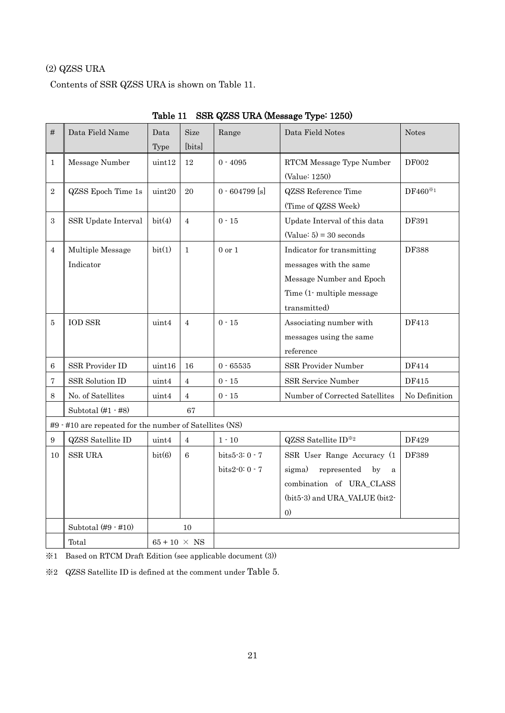## (2) QZSS URA

Contents of SSR QZSS URA is shown on [Table 11.](#page-23-0)

<span id="page-23-0"></span>

| #              | Data Field Name                                         | Data              | Size           | Range            | Data Field Notes                            | <b>Notes</b>                    |
|----------------|---------------------------------------------------------|-------------------|----------------|------------------|---------------------------------------------|---------------------------------|
|                |                                                         | Type              | [bits]         |                  |                                             |                                 |
| $\mathbf{1}$   | Message Number                                          | uint12            | $12\,$         | $0 - 4095$       | RTCM Message Type Number                    | <b>DF002</b>                    |
|                |                                                         |                   |                |                  | (Value: 1250)                               |                                 |
| $\overline{2}$ | QZSS Epoch Time 1s                                      | uint20            | 20             | $0 - 604799$ [s] | <b>QZSS</b> Reference Time                  | $\mathrm{DF}460^{\mathrm{\%}}1$ |
|                |                                                         |                   |                |                  | (Time of QZSS Week)                         |                                 |
| 3              | SSR Update Interval                                     | bit(4)            | $\overline{4}$ | $0 - 15$         | Update Interval of this data                | DF391                           |
|                |                                                         |                   |                |                  | $(Value: 5) = 30 seconds$                   |                                 |
| $\overline{4}$ | Multiple Message                                        | bit(1)            | $\mathbf{1}$   | $0$ or $1$       | Indicator for transmitting                  | <b>DF388</b>                    |
|                | Indicator                                               |                   |                |                  | messages with the same                      |                                 |
|                |                                                         |                   |                |                  | Message Number and Epoch                    |                                 |
|                |                                                         |                   |                |                  | Time (1- multiple message)                  |                                 |
|                |                                                         |                   |                |                  | transmitted)                                |                                 |
| 5              | <b>IOD SSR</b>                                          | uint4             | $\overline{4}$ | $0 - 15$         | Associating number with                     | DF413                           |
|                |                                                         |                   |                |                  | messages using the same                     |                                 |
|                |                                                         |                   |                |                  | reference                                   |                                 |
| 6              | SSR Provider ID                                         | uint16            | 16             | $0 - 65535$      | SSR Provider Number                         | DF414                           |
| 7              | SSR Solution ID                                         | uint4             | $\overline{4}$ | $0 - 15$         | SSR Service Number                          | DF415                           |
| 8              | No. of Satellites                                       | uint4             | $\overline{4}$ | $0$<br>- $15\,$  | Number of Corrected Satellites              | No Definition                   |
|                | Subtotal $(\#1 - \#8)$                                  |                   | 67             |                  |                                             |                                 |
|                | #9 · #10 are repeated for the number of Satellites (NS) |                   |                |                  |                                             |                                 |
| 9              | <b>QZSS</b> Satellite ID                                | uint4             | $\overline{4}$ | $1 - 10$         | QZSS Satellite ID*2                         | DF429                           |
| 10             | <b>SSR URA</b>                                          | bit(6)            | 6              | $bits5-3:0-7$    | SSR User Range Accuracy (1                  | DF389                           |
|                |                                                         |                   |                | $bits2-0:0-7$    | sigma)<br>represented<br>by<br>$\mathbf{a}$ |                                 |
|                |                                                         |                   |                |                  | combination of URA_CLASS                    |                                 |
|                |                                                         |                   |                |                  | (bit5-3) and URA_VALUE (bit2-               |                                 |
|                |                                                         |                   |                |                  | $\left( 0\right)$                           |                                 |
|                | Subtotal $(#9 - #10)$                                   |                   | 10             |                  |                                             |                                 |
|                | Total                                                   | $65+10 \times NS$ |                |                  |                                             |                                 |

Table 11 SSR QZSS URA (Message Type: 1250)

※1 Based on RTCM Draft Edition (see applicable document (3))

※2 QZSS Satellite ID is defined at the comment under [Table 5](#page-13-0).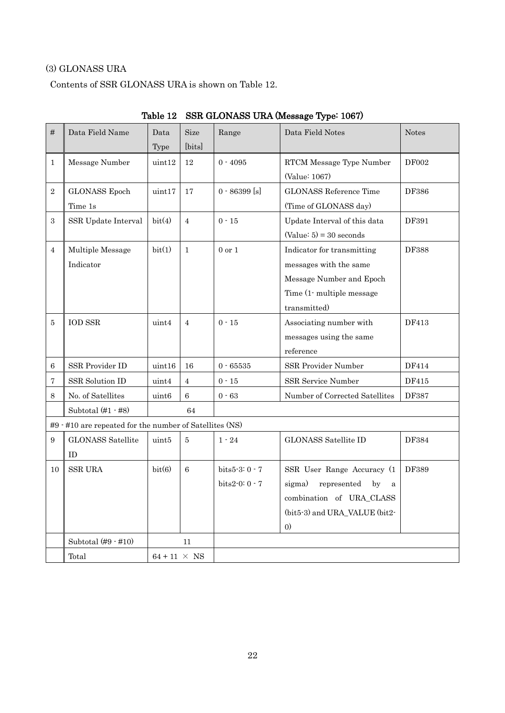## (3) GLONASS URA

Contents of SSR GLONASS URA is shown on [Table 12.](#page-24-0)

<span id="page-24-0"></span>

| #                | Data Field Name                                         | Data                | <b>Size</b>    | Range           | Data Field Notes                            | <b>Notes</b> |
|------------------|---------------------------------------------------------|---------------------|----------------|-----------------|---------------------------------------------|--------------|
|                  |                                                         | Type                | [bits]         |                 |                                             |              |
| $\mathbf{1}$     | Message Number                                          | uint12              | 12             | $0 - 4095$      | RTCM Message Type Number                    | <b>DF002</b> |
|                  |                                                         |                     |                |                 | (Value: 1067)                               |              |
| $\overline{2}$   | <b>GLONASS</b> Epoch                                    | uint17              | 17             | $0 - 86399$ [s] | <b>GLONASS Reference Time</b>               | DF386        |
|                  | Time 1s                                                 |                     |                |                 | (Time of GLONASS day)                       |              |
| $\boldsymbol{3}$ | SSR Update Interval                                     | bit(4)              | $\overline{4}$ | $0 - 15$        | Update Interval of this data                | DF391        |
|                  |                                                         |                     |                |                 | $(Value: 5) = 30 seconds$                   |              |
| $\overline{4}$   | Multiple Message                                        | bit(1)              | $\mathbf{1}$   | $0$ or $1$      | Indicator for transmitting                  | DF388        |
|                  | Indicator                                               |                     |                |                 | messages with the same                      |              |
|                  |                                                         |                     |                |                 | Message Number and Epoch                    |              |
|                  |                                                         |                     |                |                 | Time (1- multiple message                   |              |
|                  |                                                         |                     |                |                 | transmitted)                                |              |
| 5                | <b>IOD SSR</b>                                          | uint4               | $\overline{4}$ | $0 - 15$        | Associating number with                     | DF413        |
|                  |                                                         |                     |                |                 | messages using the same                     |              |
|                  |                                                         |                     |                |                 | reference                                   |              |
| 6                | SSR Provider ID                                         | uint16              | 16             | $0 - 65535$     | SSR Provider Number                         | DF414        |
| 7                | SSR Solution ID                                         | uint4               | $\overline{4}$ | $0 - 15$        | SSR Service Number                          | DF415        |
| 8                | No. of Satellites                                       | uint <sub>6</sub>   | 6              | $0 - 63$        | Number of Corrected Satellites              | DF387        |
|                  | Subtotal $(\#1 - \#8)$                                  |                     | 64             |                 |                                             |              |
|                  | #9 · #10 are repeated for the number of Satellites (NS) |                     |                |                 |                                             |              |
| 9                | <b>GLONASS Satellite</b>                                | uint5               | 5              | $1 - 24$        | <b>GLONASS Satellite ID</b>                 | DF384        |
|                  | ID                                                      |                     |                |                 |                                             |              |
| 10               | ${\rm SSR}$ URA                                         | bit(6)              | 6              | bits5-3:0 - 7   | SSR User Range Accuracy (1                  | <b>DF389</b> |
|                  |                                                         |                     |                | $bits2-0:0-7$   | sigma)<br>represented<br>by<br>$\mathbf{a}$ |              |
|                  |                                                         |                     |                |                 | combination of URA_CLASS                    |              |
|                  |                                                         |                     |                |                 | (bit5-3) and URA_VALUE (bit2-               |              |
|                  |                                                         |                     |                |                 | $\left( 0\right)$                           |              |
|                  | Subtotal $(#9 - #10)$                                   |                     | 11             |                 |                                             |              |
|                  | Total                                                   | $64 + 11 \times NS$ |                |                 |                                             |              |

Table 12 SSR GLONASS URA (Message Type: 1067)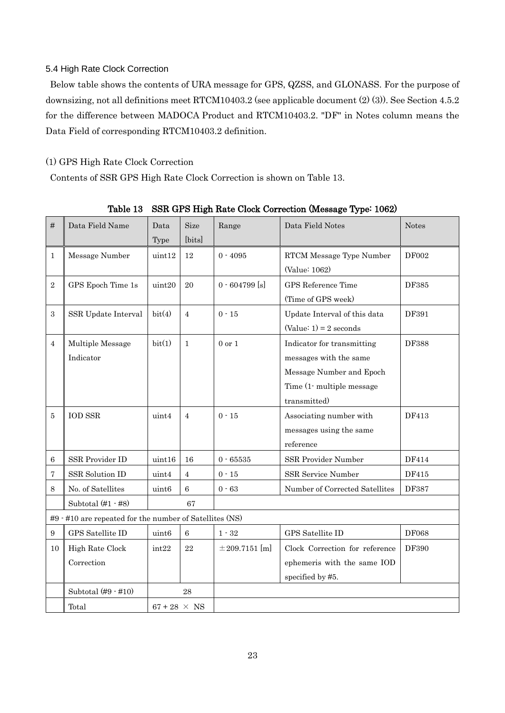### <span id="page-25-0"></span>5.4 High Rate Clock Correction

Below table shows the contents of URA message for GPS, QZSS, and GLONASS. For the purpose of downsizing, not all definitions meet RTCM10403.2 (see applicable document (2) (3)). See Section 4.5.2 for the difference between MADOCA Product and RTCM10403.2. "DF" in Notes column means the Data Field of corresponding RTCM10403.2 definition.

## (1) GPS High Rate Clock Correction

Contents of SSR GPS High Rate Clock Correction is shown on [Table 13.](#page-25-1)

<span id="page-25-1"></span>

| #                | Data Field Name                                         | Data                | <b>Size</b>    | Range              | Data Field Notes               | <b>Notes</b> |
|------------------|---------------------------------------------------------|---------------------|----------------|--------------------|--------------------------------|--------------|
|                  |                                                         | Type                | [bits]         |                    |                                |              |
| $\mathbf{1}$     | Message Number                                          | uint12              | 12             | $0 - 4095$         | RTCM Message Type Number       | <b>DF002</b> |
|                  |                                                         |                     |                |                    | (Value: 1062)                  |              |
| $\overline{2}$   | GPS Epoch Time 1s                                       | uint20              | 20             | $0 - 604799$ [s]   | GPS Reference Time             | DF385        |
|                  |                                                         |                     |                |                    | (Time of GPS week)             |              |
| $\sqrt{3}$       | SSR Update Interval                                     | bit(4)              | $\overline{4}$ | $0 - 15$           | Update Interval of this data   | DF391        |
|                  |                                                         |                     |                |                    | $(Value: 1) = 2 seconds$       |              |
| 4                | Multiple Message                                        | bit(1)              | $\mathbf{1}$   | $0$ or $1$         | Indicator for transmitting     | <b>DF388</b> |
|                  | Indicator                                               |                     |                |                    | messages with the same         |              |
|                  |                                                         |                     |                |                    | Message Number and Epoch       |              |
|                  |                                                         |                     |                |                    | Time (1-multiple message       |              |
|                  |                                                         |                     |                |                    | transmitted)                   |              |
| 5                | <b>IOD SSR</b>                                          | uint4               | $\overline{4}$ | $0 - 15$           | Associating number with        | DF413        |
|                  |                                                         |                     |                |                    | messages using the same        |              |
|                  |                                                         |                     |                |                    | reference                      |              |
| 6                | SSR Provider ID                                         | uint16              | 16             | $0 - 65535$        | SSR Provider Number            | DF414        |
| 7                | SSR Solution ID                                         | uint4               | 4              | $0 - 15$           | SSR Service Number             | DF415        |
| 8                | No. of Satellites                                       | uint <sub>6</sub>   | $\,6\,$        | $0 - 63$           | Number of Corrected Satellites | DF387        |
|                  | Subtotal $(\#1 - \#8)$                                  |                     | 67             |                    |                                |              |
|                  | #9 · #10 are repeated for the number of Satellites (NS) |                     |                |                    |                                |              |
| $\boldsymbol{9}$ | GPS Satellite ID                                        | uint <sub>6</sub>   | 6              | $1$ - $32\,$       | GPS Satellite ID               | <b>DF068</b> |
| 10               | High Rate Clock                                         | int22               | 22             | $\pm 209.7151$ [m] | Clock Correction for reference | DF390        |
|                  | Correction                                              |                     |                |                    | ephemeris with the same IOD    |              |
|                  |                                                         |                     |                |                    | specified by #5.               |              |
|                  | Subtotal $(\#9 - \#10)$                                 |                     | 28             |                    |                                |              |
|                  | Total                                                   | $67 + 28 \times NS$ |                |                    |                                |              |

Table 13 SSR GPS High Rate Clock Correction (Message Type: 1062)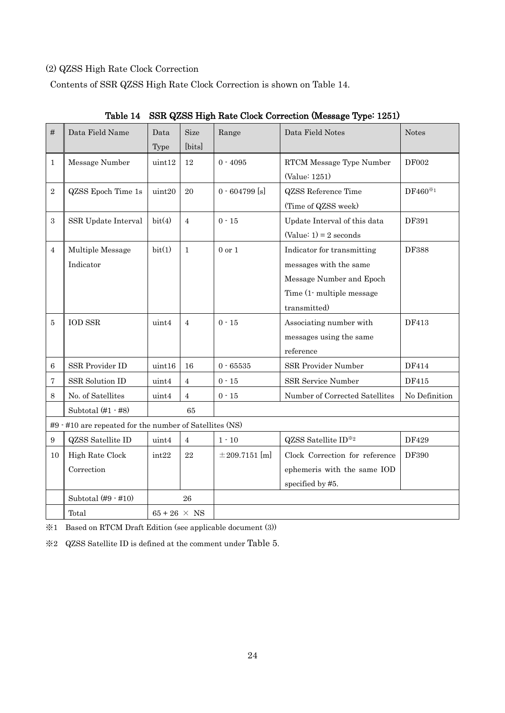## (2) QZSS High Rate Clock Correction

Contents of SSR QZSS High Rate Clock Correction is shown on [Table 14.](#page-26-0)

<span id="page-26-0"></span>

| #                | Data Field Name                                         | Data<br>Type        | <b>Size</b><br>[bits] | Range              | Data Field Notes                                                                                                              | <b>Notes</b>                                  |
|------------------|---------------------------------------------------------|---------------------|-----------------------|--------------------|-------------------------------------------------------------------------------------------------------------------------------|-----------------------------------------------|
| $\mathbf{1}$     | Message Number                                          | uint12              | 12                    | $0 - 4095$         | RTCM Message Type Number<br>(Value: 1251)                                                                                     | <b>DF002</b>                                  |
| $\sqrt{2}$       | QZSS Epoch Time 1s                                      | uint20              | 20                    | $0.604799$ [s]     | <b>QZSS</b> Reference Time<br>(Time of QZSS week)                                                                             | $\mathrm{DF}460^{\textcolor{red}{\text{*}}1}$ |
| 3                | SSR Update Interval                                     | bit(4)              | $\overline{4}$        | $0 - 15$           | Update Interval of this data<br>$(Value: 1) = 2 seconds$                                                                      | DF391                                         |
| 4                | Multiple Message<br>Indicator                           | bit(1)              | $\mathbf{1}$          | $0 \text{ or } 1$  | Indicator for transmitting<br>messages with the same<br>Message Number and Epoch<br>Time (1- multiple message<br>transmitted) | DF388                                         |
| 5                | <b>IOD SSR</b>                                          | uint4               | $\overline{4}$        | $0 - 15$           | Associating number with<br>messages using the same<br>reference                                                               | DF413                                         |
| 6                | SSR Provider ID                                         | uint16              | 16                    | $0 - 65535$        | SSR Provider Number                                                                                                           | DF414                                         |
| 7                | <b>SSR Solution ID</b>                                  | uint4               | 4                     | $0 - 15$           | SSR Service Number                                                                                                            | DF415                                         |
| 8                | No. of Satellites                                       | uint4               | $\overline{4}$        | $0 - 15$           | Number of Corrected Satellites                                                                                                | No Definition                                 |
|                  | Subtotal $(\#1 - \#8)$                                  |                     | 65                    |                    |                                                                                                                               |                                               |
|                  | #9 · #10 are repeated for the number of Satellites (NS) |                     |                       |                    |                                                                                                                               |                                               |
| $\boldsymbol{9}$ | <b>QZSS</b> Satellite ID                                | uint4               | 4                     | $1 - 10$           | QZSS Satellite ID*2                                                                                                           | DF429                                         |
| 10               | High Rate Clock<br>Correction                           | int22               | 22                    | $\pm 209.7151$ [m] | Clock Correction for reference<br>ephemeris with the same IOD<br>specified by #5.                                             | DF390                                         |
|                  | Subtotal $(\#9 - \#10)$                                 |                     | 26                    |                    |                                                                                                                               |                                               |
|                  | Total                                                   | $65 + 26 \times NS$ |                       |                    |                                                                                                                               |                                               |

Table 14 SSR QZSS High Rate Clock Correction (Message Type: 1251)

※1 Based on RTCM Draft Edition (see applicable document (3))

※2 QZSS Satellite ID is defined at the comment under [Table 5](#page-13-0).